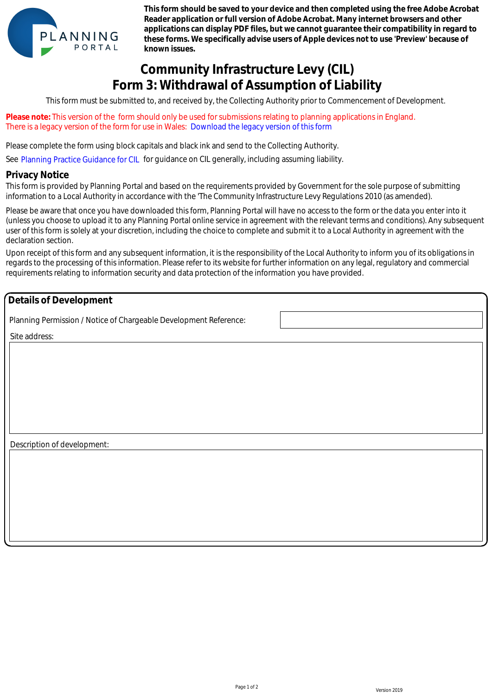

**This form should be saved to your device and then completed using the free Adobe Acrobat Reader application or full version of Adobe Acrobat. Many internet browsers and other applications can display PDF files, but we cannot guarantee their compatibility in regard to these forms. We specifically advise users of Apple devices not to use 'Preview' because of known issues.**

## **Community Infrastructure Levy (CIL) Form 3: Withdrawal of Assumption of Liability**

This form must be submitted to, and received by, the Collecting Authority prior to Commencement of Development.

**Please note:** This version of the form should only be used for submissions relating to planning applications in England. There is a legacy version of the form for use in Wales: Download the legacy version of this form

Please complete the form using block capitals and black ink and send to the Collecting Authority.

See Planning Practice Guidance for CIL for guidance on CIL generally, including assuming liability.

## **Privacy Notice**

This form is provided by Planning Portal and based on the requirements provided by Government for the sole purpose of submitting information to a Local Authority in accordance with the 'The Community Infrastructure Levy Regulations 2010 (as amended).

Please be aware that once you have downloaded this form, Planning Portal will have no access to the form or the data you enter into it (unless you choose to upload it to any Planning Portal online service in agreement with the relevant terms and conditions). Any subsequent user of this form is solely at your discretion, including the choice to complete and submit it to a Local Authority in agreement with the declaration section. e is a legacy version of the form for use in Wales: Download the legacy version of this form of 200 complete the form using block capitals and blased. Not know and solid to the Collecting Authority (Planning Practice Guida

Upon receipt of this form and any subsequent information, it is the responsibility of the Local Authority to inform you of its obligations in regards to the processing of this information. Please refer to its website for further information on any legal, regulatory and commercial requirements relating to information security and data protection of the information you have provided.

## **Details of Development**

Planning Permission / Notice of Chargeable Development Reference:

Site address:

Description of development: